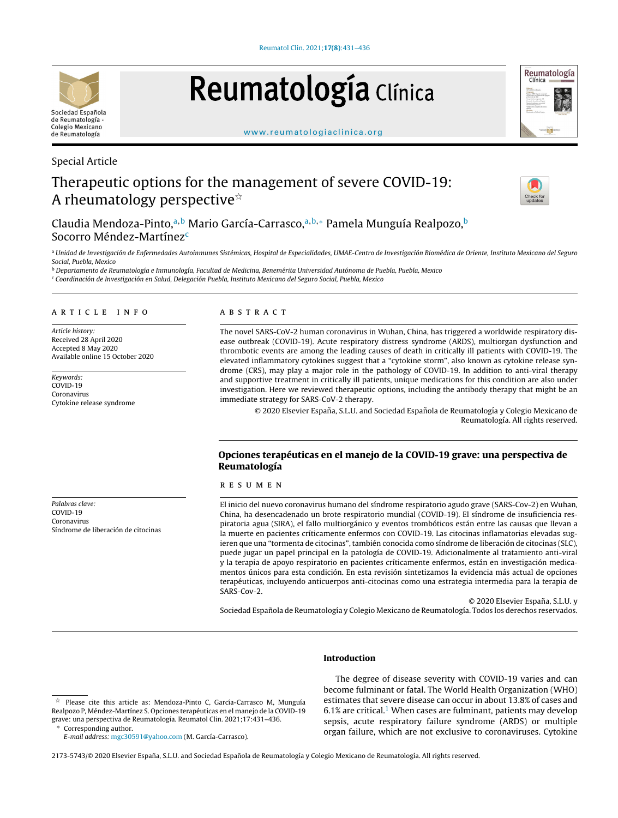

# Reumatología Clínica



#### [www.reumatologiaclinica.org](http://www.reumatologiaclinica.org)

# Special Article

# Therapeutic options for the management of severe COVID-19: A rheumatology perspective $\dot{\mathbb{r}}$



Claudia Mendoza-Pinto,<sup>a,b</sup> Mario García-Carrasco,<sup>a,b,∗</sup> Pamela Munguía Realpozo,<sup>b</sup> Socorro Méndez-Martínez<sup>c</sup>

a Unidad de Investigación de Enfermedades Autoinmunes Sistémicas, Hospital de Especialidades, UMAE-Centro de Investigación Biomédica de Oriente, Instituto Mexicano del Seguro Social, Puebla, Mexico

<sup>b</sup> Departamento de Reumatología e Inmunología, Facultad de Medicina, Benemérita Universidad Autónoma de Puebla, Puebla, Mexico <sup>c</sup> Coordinación de Investigación en Salud, Delegación Puebla, Instituto Mexicano del Seguro Social, Puebla, Mexico

#### A R T I C L E I N F O

Article history: Received 28 April 2020 Accepted 8 May 2020 Available online 15 October 2020

Keywords: COVID-19 Coronavirus Cytokine release syndrome

Palabras clave: COVID-19 Coronavirus Síndrome de liberación de citocinas

# a b s t r a c t

The novel SARS-CoV-2 human coronavirus in Wuhan, China, has triggered a worldwide respiratory disease outbreak (COVID-19). Acute respiratory distress syndrome (ARDS), multiorgan dysfunction and thrombotic events are among the leading causes of death in critically ill patients with COVID-19. The elevated inflammatory cytokines suggest that a "cytokine storm", also known as cytokine release syndrome (CRS), may play a major role in the pathology of COVID-19. In addition to anti-viral therapy and supportive treatment in critically ill patients, unique medications for this condition are also under investigation. Here we reviewed therapeutic options, including the antibody therapy that might be an immediate strategy for SARS-CoV-2 therapy.

© 2020 Elsevier España, S.L.U. and Sociedad Española de Reumatología y Colegio Mexicano de Reumatología. All rights reserved.

# Opciones terapéuticas en el manejo de la COVID-19 grave: una perspectiva de Reumatología

#### r e s u m e n

El inicio del nuevo coronavirus humano del síndrome respiratorio agudo grave (SARS-Cov-2) en Wuhan, China, ha desencadenado un brote respiratorio mundial (COVID-19). El síndrome de insuficiencia respiratoria agua (SIRA), el fallo multiorgánico y eventos trombóticos están entre las causas que llevan a la muerte en pacientes críticamente enfermos con COVID-19. Las citocinas inflamatorias elevadas sugieren que una "tormenta de citocinas", también conocida como síndrome de liberación de citocinas (SLC), puede jugar un papel principal en la patología de COVID-19. Adicionalmente al tratamiento anti-viral y la terapia de apoyo respiratorio en pacientes críticamente enfermos, están en investigación medicamentos únicos para esta condición. En esta revisión sintetizamos la evidencia más actual de opciones terapéuticas, incluyendo anticuerpos anti-citocinas como una estrategia intermedia para la terapia de SARS-Cov-2.

© 2020 Elsevier España, S.L.U. y

Sociedad Española de Reumatología y Colegio Mexicano de Reumatología. Todos los derechos reservados.

# Introduction

E-mail address: [mgc30591@yahoo.com](mailto:mgc30591@yahoo.com) (M. García-Carrasco).

The degree of disease severity with COVID-19 varies and can become fulminant or fatal. The World Health Organization (WHO) estimates that severe disease can occur in about 13.8% of cases and  $6.1\%$  $6.1\%$  $6.1\%$  are critical.<sup>1</sup> When cases are fulminant, patients may develop sepsis, acute respiratory failure syndrome (ARDS) or multiple organ failure, which are not exclusive to coronaviruses. Cytokine

2173-5743/© 2020 Elsevier España, S.L.U. and Sociedad Española de Reumatología y Colegio Mexicano de Reumatología. All rights reserved.

 $\frac{1}{24}$  Please cite this article as: Mendoza-Pinto C, García-Carrasco M, Munguía Realpozo P, Méndez-Martínez S. Opciones terapéuticas en el manejo de la COVID-19 grave: una perspectiva de Reumatología. Reumatol Clin. 2021;17:431–436. Corresponding author.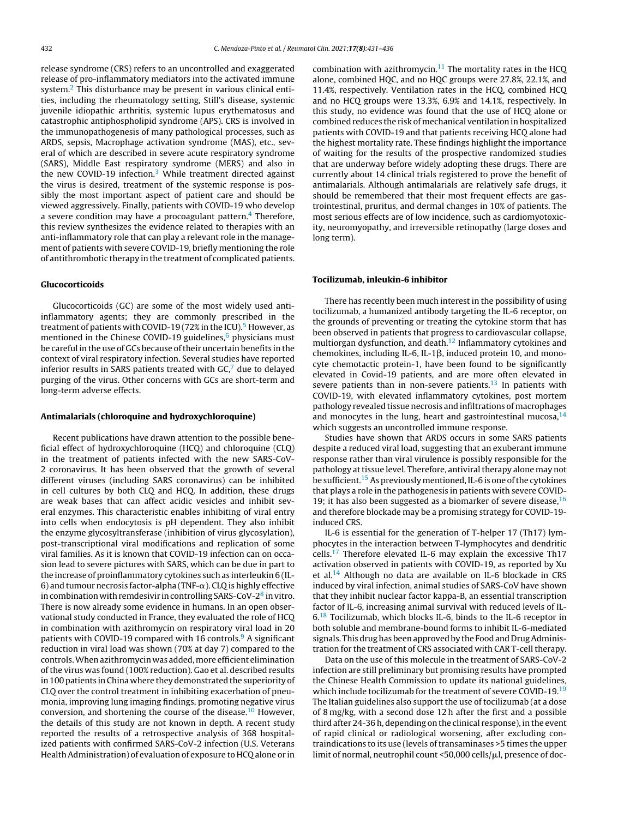release syndrome (CRS) refers to an uncontrolled and exaggerated release of pro-inflammatory mediators into the activated immune system.[2](#page-4-0) This disturbance may be present in various clinical entities, including the rheumatology setting, Still's disease, systemic juvenile idiopathic arthritis, systemic lupus erythematosus and catastrophic antiphospholipid syndrome (APS). CRS is involved in the immunopathogenesis of many pathological processes, such as ARDS, sepsis, Macrophage activation syndrome (MAS), etc., several of which are described in severe acute respiratory syndrome (SARS), Middle East respiratory syndrome (MERS) and also in the new COVID-19 infection. $3$  While treatment directed against the virus is desired, treatment of the systemic response is possibly the most important aspect of patient care and should be viewed aggressively. Finally, patients with COVID-19 who develop a severe condition may have a procoagulant pattern.<sup>[4](#page-4-0)</sup> Therefore, this review synthesizes the evidence related to therapies with an anti-inflammatory role that can play a relevant role in the management of patients with severe COVID-19, briefly mentioning the role of antithrombotic therapy in the treatment of complicated patients.

#### Glucocorticoids

Glucocorticoids (GC) are some of the most widely used antiinflammatory agents; they are commonly prescribed in the treatment of patients with COVID-19 (72% in the ICU).<sup>5</sup> [H](#page-4-0)owever, as mentioned in the Chinese COVID-19 guidelines, $6$  physicians must be careful in the use of GCs because of their uncertain benefits in the context of viral respiratory infection. Several studies have reported inferior results in SARS patients treated with  $GC<sub>1</sub><sup>7</sup>$  $GC<sub>1</sub><sup>7</sup>$  $GC<sub>1</sub><sup>7</sup>$  due to delayed purging of the virus. Other concerns with GCs are short-term and long-term adverse effects.

#### Antimalarials (chloroquine and hydroxychloroquine)

Recent publications have drawn attention to the possible beneficial effect of hydroxychloroquine (HCQ) and chloroquine (CLQ) in the treatment of patients infected with the new SARS-CoV-2 coronavirus. It has been observed that the growth of several different viruses (including SARS coronavirus) can be inhibited in cell cultures by both CLQ and HCQ. In addition, these drugs are weak bases that can affect acidic vesicles and inhibit several enzymes. This characteristic enables inhibiting of viral entry into cells when endocytosis is pH dependent. They also inhibit the enzyme glycosyltransferase (inhibition of virus glycosylation), post-transcriptional viral modifications and replication of some viral families. As it is known that COVID-19 infection can on occasion lead to severe pictures with SARS, which can be due in part to the increase of proinflammatory cytokines such as interleukin 6 (IL-6) and tumour necrosis factor-alpha (TNF- $\alpha$ ). CLQ is highly effective [in](#page-4-0) combination with remdesivir in controlling SARS-CoV-2 $^8$  in vitro. There is now already some evidence in humans. In an open observational study conducted in France, they evaluated the role of HCQ in combination with azithromycin on respiratory viral load in 20 patients with COVID-1[9](#page-4-0) compared with 16 controls.<sup>9</sup> A significant reduction in viral load was shown (70% at day 7) compared to the controls.Whenazithromycin was added,more efficient elimination ofthe virus was found (100% reduction). Gao et al. described results in100 patients inChina where they demonstrated the superiority of CLQ over the control treatment in inhibiting exacerbation of pneumonia, improving lung imaging findings, promoting negative virus conversion, and shortening the course of the disease.[10](#page-4-0) However, the details of this study are not known in depth. A recent study reported the results of a retrospective analysis of 368 hospitalized patients with confirmed SARS-CoV-2 infection (U.S. Veterans HealthAdministration) of evaluation of exposure to HCQ alone or in

combination with azithromycin. $11$  The mortality rates in the HCQ alone, combined HQC, and no HQC groups were 27.8%, 22.1%, and 11.4%, respectively. Ventilation rates in the HCQ, combined HCQ and no HCQ groups were 13.3%, 6.9% and 14.1%, respectively. In this study, no evidence was found that the use of HCQ alone or combined reduces the risk of mechanical ventilation in hospitalized patients with COVID-19 and that patients receiving HCQ alone had the highest mortality rate. These findings highlight the importance of waiting for the results of the prospective randomized studies that are underway before widely adopting these drugs. There are currently about 14 clinical trials registered to prove the benefit of antimalarials. Although antimalarials are relatively safe drugs, it should be remembered that their most frequent effects are gastrointestinal, pruritus, and dermal changes in 10% of patients. The most serious effects are of low incidence, such as cardiomyotoxicity, neuromyopathy, and irreversible retinopathy (large doses and long term).

#### Tocilizumab, inleukin-6 inhibitor

There has recently been much interest in the possibility of using tocilizumab, a humanized antibody targeting the IL-6 receptor, on the grounds of preventing or treating the cytokine storm that has been observed in patients that progress to cardiovascular collapse, multiorgan dysfunction, and death.[12](#page-4-0) Inflammatory cytokines and chemokines, including IL-6, IL-1 $\beta$ , induced protein 10, and monocyte chemotactic protein-1, have been found to be significantly elevated in Covid-19 patients, and are more often elevated in severe patients than in non-severe patients. $13$  In patients with COVID-19, with elevated inflammatory cytokines, post mortem pathology revealed tissue necrosis and infiltrations of macrophages and monocytes in the lung, heart and gastrointestinal mucosa, $14$ which suggests an uncontrolled immune response.

Studies have shown that ARDS occurs in some SARS patients despite a reduced viral load, suggesting that an exuberant immune response rather than viral virulence is possibly responsible for the pathology at tissue level. Therefore, antiviral therapy alone may not be sufficient.<sup>[15](#page-4-0)</sup> As previously mentioned, IL-6 is one of the cytokines that plays a role in the pathogenesis in patients with severe COVID-19; it has also been suggested as a biomarker of severe disease,  $16$ and therefore blockade may be a promising strategy for COVID-19 induced CRS.

IL-6 is essential for the generation of T-helper 17 (Th17) lymphocytes in the interaction between T-lymphocytes and dendritic cells.[17](#page-4-0) Therefore elevated IL-6 may explain the excessive Th17 activation observed in patients with COVID-19, as reported by Xu et al.<sup>[14](#page-4-0)</sup> Although no data are available on IL-6 blockade in CRS induced by viral infection, animal studies of SARS-CoV have shown that they inhibit nuclear factor kappa-B, an essential transcription factor of IL-6, increasing animal survival with reduced levels of IL-6.[18](#page-4-0) Tocilizumab, which blocks IL-6, binds to the IL-6 receptor in both soluble and membrane-bound forms to inhibit IL-6-mediated signals. This drug has been approved by the Food and Drug Administration for the treatment of CRS associated with CAR T-cell therapy.

Data on the use of this molecule in the treatment of SARS-CoV-2 infection are still preliminary but promising results have prompted the Chinese Health Commission to update its national guidelines, which include tocilizumab for the treatment of severe COVID-[19](#page-4-0).<sup>19</sup> The Italian guidelines also support the use of tocilizumab (at a dose of 8 mg/kg, with a second dose 12 h after the first and a possible third after 24-36 h, depending on the clinical response), in the event of rapid clinical or radiological worsening, after excluding contraindications to its use (levels of transaminases >5 times the upper limit of normal, neutrophil count <50,000 cells/ $\mu$ l, presence of doc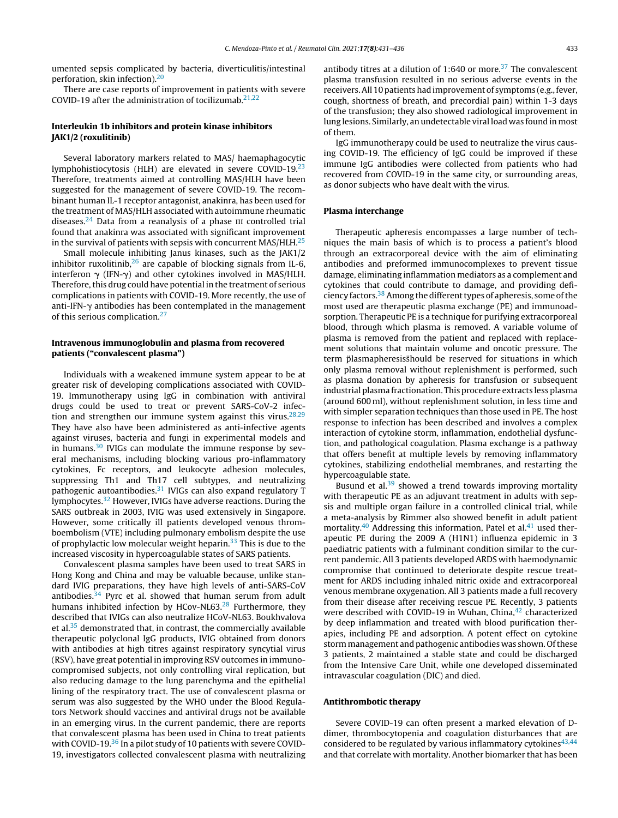umented sepsis complicated by bacteria, diverticulitis/intestinal perforation, skin infection).[20](#page-4-0)

There are case reports of improvement in patients with severe COVID-19 after the administration of tocilizumab. $21,22$ 

# Interleukin 1b inhibitors and protein kinase inhibitors JAK1/2 (roxulitinib)

Several laboratory markers related to MAS/ haemaphagocytic lymphohistiocytosis (HLH) are elevated in severe COVID-19.[23](#page-4-0) Therefore, treatments aimed at controlling MAS/HLH have been suggested for the management of severe COVID-19. The recombinant human IL-1 receptor antagonist, anakinra, has been used for the treatment of MAS/HLH associated with autoimmune rheumatic diseases.<sup>[24](#page-4-0)</sup> Data from a reanalysis of a phase  $\overline{u}$  controlled trial found that anakinra was associated with significant improvement in the survival of patients with sepsis with concurrent MAS/HLH. $^{25}$  $^{25}$  $^{25}$ 

Small molecule inhibiting Janus kinases, such as the JAK1/2 inhibitor ruxolitinib, $26$  are capable of blocking signals from IL-6, interferon  $\gamma$  (IFN- $\gamma$ ) and other cytokines involved in MAS/HLH. Therefore, this drug could have potential in the treatment of serious complications in patients with COVID-19. More recently, the use of anti-IFN- $\gamma$  antibodies has been contemplated in the management of this serious complication.<sup>[27](#page-4-0)</sup>

# Intravenous immunoglobulin and plasma from recovered patients ("convalescent plasma")

Individuals with a weakened immune system appear to be at greater risk of developing complications associated with COVID-19. Immunotherapy using IgG in combination with antiviral drugs could be used to treat or prevent SARS-CoV-2 infection and strengthen our immune system against this virus. $28,29$ They have also have been administered as anti-infective agents against viruses, bacteria and fungi in experimental models and in humans. $30$  IVIGs can modulate the immune response by several mechanisms, including blocking various pro-inflammatory cytokines, Fc receptors, and leukocyte adhesion molecules, suppressing Th1 and Th17 cell subtypes, and neutralizing pathogenic autoantibodies.<sup>[31](#page-4-0)</sup> IVIGs can also expand regulatory T lymphocytes.[32](#page-4-0) However, IVIGs have adverse reactions. During the SARS outbreak in 2003, IVIG was used extensively in Singapore. However, some critically ill patients developed venous thromboembolism (VTE) including pulmonary embolism despite the use of prophylactic low molecular weight heparin. $33$  This is due to the increased viscosity in hypercoagulable states of SARS patients.

Convalescent plasma samples have been used to treat SARS in Hong Kong and China and may be valuable because, unlike standard IVIG preparations, they have high levels of anti-SARS-CoV antibodies. $34$  Pyrc et al. showed that human serum from adult humans inhibited infection by HCov-NL63.<sup>[28](#page-4-0)</sup> Furthermore, they described that IVIGs can also neutralize HCoV-NL63. Boukhvalova et al. $35$  demonstrated that, in contrast, the commercially available therapeutic polyclonal IgG products, IVIG obtained from donors with antibodies at high titres against respiratory syncytial virus (RSV), have great potential in improving RSV outcomes in immunocompromised subjects, not only controlling viral replication, but also reducing damage to the lung parenchyma and the epithelial lining of the respiratory tract. The use of convalescent plasma or serum was also suggested by the WHO under the Blood Regulators Network should vaccines and antiviral drugs not be available in an emerging virus. In the current pandemic, there are reports that convalescent plasma has been used in China to treat patients with COVID-19. $36$  In a pilot study of 10 patients with severe COVID-19, investigators collected convalescent plasma with neutralizing antibody titres at a dilution of 1:640 or more.<sup>[37](#page-5-0)</sup> The convalescent plasma transfusion resulted in no serious adverse events in the receivers. All 10 patients had improvement of symptoms (e.g., fever, cough, shortness of breath, and precordial pain) within 1-3 days of the transfusion; they also showed radiological improvement in lung lesions. Similarly, an undetectable viral load was found in most of them.

IgG immunotherapy could be used to neutralize the virus causing COVID-19. The efficiency of IgG could be improved if these immune IgG antibodies were collected from patients who had recovered from COVID-19 in the same city, or surrounding areas, as donor subjects who have dealt with the virus.

# Plasma interchange

Therapeutic apheresis encompasses a large number of techniques the main basis of which is to process a patient's blood through an extracorporeal device with the aim of eliminating antibodies and preformed immunocomplexes to prevent tissue damage, eliminating inflammation mediators as a complement and cytokines that could contribute to damage, and providing defi-ciency factors.<sup>[38](#page-5-0)</sup> Among the different types of apheresis, some of the most used are therapeutic plasma exchange (PE) and immunoadsorption. Therapeutic PE is a technique for purifying extracorporeal blood, through which plasma is removed. A variable volume of plasma is removed from the patient and replaced with replacement solutions that maintain volume and oncotic pressure. The term plasmapheresis should be reserved for situations in which only plasma removal without replenishment is performed, such as plasma donation by apheresis for transfusion or subsequent industrial plasma fractionation. This procedure extracts less plasma (around 600 ml), without replenishment solution, in less time and with simpler separation techniques than those used in PE. The host response to infection has been described and involves a complex interaction of cytokine storm, inflammation, endothelial dysfunction, and pathological coagulation. Plasma exchange is a pathway that offers benefit at multiple levels by removing inflammatory cytokines, stabilizing endothelial membranes, and restarting the hypercoagulable state.

Busund et al.<sup>[39](#page-5-0)</sup> showed a trend towards improving mortality with therapeutic PE as an adjuvant treatment in adults with sepsis and multiple organ failure in a controlled clinical trial, while a meta-analysis by Rimmer also showed benefit in adult patient mortality.<sup>[40](#page-5-0)</sup> Addressing this information, Patel et al.<sup>[41](#page-5-0)</sup> used therapeutic PE during the 2009 A (H1N1) influenza epidemic in 3 paediatric patients with a fulminant condition similar to the current pandemic. All 3 patients developed ARDS with haemodynamic compromise that continued to deteriorate despite rescue treatment for ARDS including inhaled nitric oxide and extracorporeal venous membrane oxygenation. All 3 patients made a full recovery from their disease after receiving rescue PE. Recently, 3 patients were described with COVID-19 in Wuhan, China, $42$  characterized by deep inflammation and treated with blood purification therapies, including PE and adsorption. A potent effect on cytokine storm management and pathogenic antibodies was shown. Of these 3 patients, 2 maintained a stable state and could be discharged from the Intensive Care Unit, while one developed disseminated intravascular coagulation (DIC) and died.

#### Antithrombotic therapy

Severe COVID-19 can often present a marked elevation of Ddimer, thrombocytopenia and coagulation disturbances that are considered to be regulated by various inflammatory cytokines $43,44$ and that correlate with mortality. Another biomarker that has been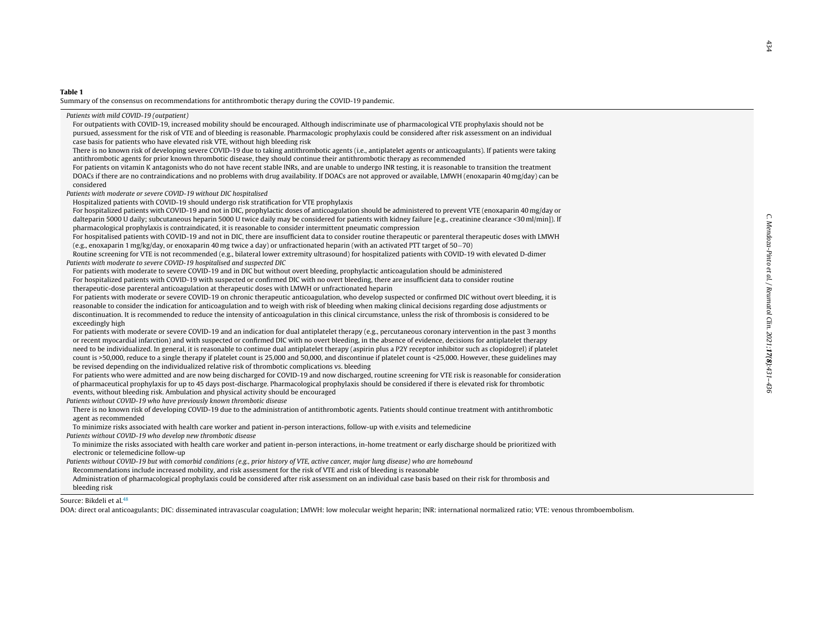#### <span id="page-3-0"></span>Table 1

Summary of the consensus on recommendations for antithrombotic therapy during the COVID-19 pandemic.

Patients with mild COVID-19 (outpatient)

For outpatients with COVID-19, increased mobility should be encouraged. Although indiscriminate use of pharmacological VTE prophylaxis should not be pursued, assessment for the risk of VTE and of bleeding is reasonable. Pharmacologic prophylaxis could be considered after risk assessment on an individual case basis for patients who have elevated risk VTE, without high bleeding risk

There is no known risk of developing severe COVID-19 due to taking antithrombotic agents (i.e., antiplatelet agents or anticoagulants). If patients were taking antithrombotic agents for prior known thrombotic disease, they should continue their antithrombotic therapy as recommended

For patients on vitamin K antagonists who do not have recent stable INRs, and are unable to undergo INR testing, it is reasonable to transition the treatment DOACs if there are no contraindications and no problems with drug availability. If DOACs are not approved or available, LMWH (enoxaparin 40 mg/day) can be considered

Patients with moderate or severe COVID-19 without DIC hospitalised

Hospitalized patients with COVID-19 should undergo risk stratification for VTE prophylaxis

For hospitalized patients with COVID-19 and not in DIC, prophylactic doses of anticoagulation should be administered to prevent VTE (enoxaparin 40 mg/day or dalteparin 5000 U daily; subcutaneous heparin 5000 U twice daily may be considered for patients with kidney failure [e.g., creatinine clearance <30 ml/min]). If pharmacological prophylaxis is contraindicated, it is reasonable to consider intermittent pneumatic compression

For hospitalised patients with COVID-19 and not in DIC, there are insufficient data to consider routine therapeutic or parenteral therapeutic doses with LMWH (e.g., enoxaparin 1 mg/kg/day, or enoxaparin 40 mg twice a day) or unfractionated heparin (with an activated PTT target of 50−70)

Routine screening for VTE is not recommended (e.g., bilateral lower extremity ultrasound) for hospitalized patients with COVID-19 with elevated D-dimer Patients with moderate to severe COVID-19 hospitalised and suspected DIC

For patients with moderate to severe COVID-19 and in DIC but without overt bleeding, prophylactic anticoagulation should be administered For hospitalized patients with COVID-19 with suspected or confirmed DIC with no overt bleeding, there are insufficient data to consider routine therapeutic-dose parenteral anticoagulation at therapeutic doses with LMWH or unfractionated heparin

For patients with moderate or severe COVID-19 on chronic therapeutic anticoagulation, who develop suspected or confirmed DIC without overt bleeding, it is reasonable to consider the indication for anticoagulation and to weigh with risk of bleeding when making clinical decisions regarding dose adjustments or discontinuation. It is recommended to reduce the intensity of anticoagulation in this clinical circumstance, unless the risk of thrombosis is considered to be exceedingly high

For patients with moderate or severe COVID-19 and an indication for dual antiplatelet therapy (e.g., percutaneous coronary intervention in the past 3 months or recent myocardial infarction) and with suspected or confirmed DIC with no overt bleeding, in the absence of evidence, decisions for antiplatelet therapy need to be individualized. In general, it is reasonable to continue dual antiplatelet therapy (aspirin plus a P2Y receptor inhibitor such as clopidogrel) if platelet count is >50,000, reduce to a single therapy if platelet count is 25,000 and 50,000, and discontinue if platelet count is <25,000. However, these guidelines may be revised depending on the individualized relative risk of thrombotic complications vs. bleeding

For patients who were admitted and are now being discharged for COVID-19 and now discharged, routine screening for VTE risk is reasonable for consideration of pharmaceutical prophylaxis for up to 45 days post-discharge. Pharmacological prophylaxis should be considered if there is elevated risk for thrombotic events, without bleeding risk. Ambulation and physical activity should be encouraged

Patients without COVID-19 who have previously known thrombotic disease

There is no known risk of developing COVID-19 due to the administration of antithrombotic agents. Patients should continue treatment with antithrombotic agent as recommended

To minimize risks associated with health care worker and patient in-person interactions, follow-up with e.visits and telemedicine

Patients without COVID-19 who develop new thrombotic disease

To minimize the risks associated with health care worker and patient in-person interactions, in-home treatment or early discharge should be prioritized with electronic or telemedicine follow-up

Patients without COVID-19 but with comorbid conditions (e.g., prior history of VTE, active cancer, major lung disease) who are homebound

Recommendations include increased mobility, and risk assessment for the risk of VTE and risk of bleeding is reasonable

Administration of pharmacological prophylaxis could be considered after risk assessment on an individual case basis based on their risk for thrombosis and bleeding risk

Source: Bikdeli et al.[48](#page-5-0)

DOA: direct oral anticoagulants; DIC: disseminated intravascular coagulation; LMWH: low molecular weight heparin; INR: international normalized ratio; VTE: venous thromboembolism.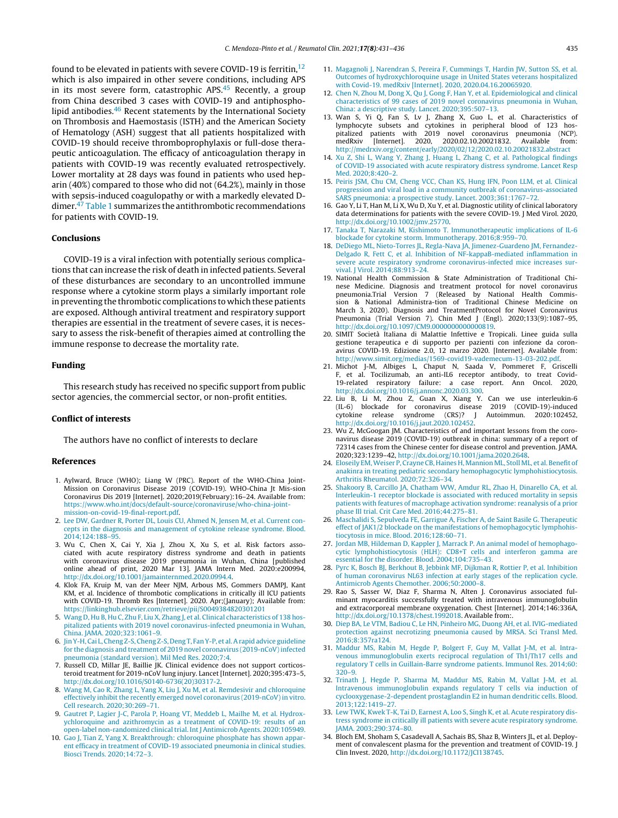<span id="page-4-0"></span>found to be elevated in patients with severe COVID-19 is ferritin,  $12$ which is also impaired in other severe conditions, including APS in its most severe form, catastrophic APS. $45$  Recently, a group from China described 3 cases with COVID-19 and antiphospholipid antibodies.[46](#page-5-0) Recent statements by the International Society on Thrombosis and Haemostasis (ISTH) and the American Society of Hematology (ASH) suggest that all patients hospitalized with COVID-19 should receive thromboprophylaxis or full-dose therapeutic anticoagulation. The efficacy of anticoagulation therapy in patients with COVID-19 was recently evaluated retrospectively. Lower mortality at 28 days was found in patients who used heparin (40%) compared to those who did not (64.2%), mainly in those with sepsis-induced coagulopathy or with a markedly elevated Ddimer. $47$  [Table](#page-3-0) 1 summarizes the antithrombotic recommendations for patients with COVID-19.

#### Conclusions

COVID-19 is a viral infection with potentially serious complications that can increase the risk of death in infected patients. Several of these disturbances are secondary to an uncontrolled immune response where a cytokine storm plays a similarly important role in preventing the thrombotic complications to which these patients are exposed. Although antiviral treatment and respiratory support therapies are essential in the treatment of severe cases, it is necessary to assess the risk-benefit of therapies aimed at controlling the immune response to decrease the mortality rate.

#### Funding

This research study has received no specific support from public sector agencies, the commercial sector, or non-profit entities.

#### Conflict of interests

The authors have no conflict of interests to declare

#### References

- 1. Aylward, Bruce (WHO); Liang W (PRC). Report of the WHO-China Joint-Mission on Coronavirus Disease 2019 (COVID-19). WHO-China Jt Mis-sion Coronavirus Dis 2019 [Internet]. 2020;2019(February):16–24. Available from: [https://www.who.int/docs/default-source/coronaviruse/who-china-joint](https://www.who.int/docs/default-source/coronaviruse/who-china-joint-mission-on-covid-19-final-report.pdf)[mission-on-covid-19-final-report.pdf](https://www.who.int/docs/default-source/coronaviruse/who-china-joint-mission-on-covid-19-final-report.pdf).
- 2. [Lee](http://refhub.elsevier.com/S2173-5743(20)30133-7/sbref0005) [DW,](http://refhub.elsevier.com/S2173-5743(20)30133-7/sbref0005) [Gardner](http://refhub.elsevier.com/S2173-5743(20)30133-7/sbref0005) [R,](http://refhub.elsevier.com/S2173-5743(20)30133-7/sbref0005) [Porter](http://refhub.elsevier.com/S2173-5743(20)30133-7/sbref0005) [DL,](http://refhub.elsevier.com/S2173-5743(20)30133-7/sbref0005) [Louis](http://refhub.elsevier.com/S2173-5743(20)30133-7/sbref0005) [CU,](http://refhub.elsevier.com/S2173-5743(20)30133-7/sbref0005) [Ahmed](http://refhub.elsevier.com/S2173-5743(20)30133-7/sbref0005) [N,](http://refhub.elsevier.com/S2173-5743(20)30133-7/sbref0005) [Jensen](http://refhub.elsevier.com/S2173-5743(20)30133-7/sbref0005) [M,](http://refhub.elsevier.com/S2173-5743(20)30133-7/sbref0005) [et](http://refhub.elsevier.com/S2173-5743(20)30133-7/sbref0005) [al.](http://refhub.elsevier.com/S2173-5743(20)30133-7/sbref0005) [Current](http://refhub.elsevier.com/S2173-5743(20)30133-7/sbref0005) [con](http://refhub.elsevier.com/S2173-5743(20)30133-7/sbref0005)[cepts](http://refhub.elsevier.com/S2173-5743(20)30133-7/sbref0005) [in](http://refhub.elsevier.com/S2173-5743(20)30133-7/sbref0005) [the](http://refhub.elsevier.com/S2173-5743(20)30133-7/sbref0005) [diagnosis](http://refhub.elsevier.com/S2173-5743(20)30133-7/sbref0005) [and](http://refhub.elsevier.com/S2173-5743(20)30133-7/sbref0005) [management](http://refhub.elsevier.com/S2173-5743(20)30133-7/sbref0005) [of](http://refhub.elsevier.com/S2173-5743(20)30133-7/sbref0005) [cytokine](http://refhub.elsevier.com/S2173-5743(20)30133-7/sbref0005) [release](http://refhub.elsevier.com/S2173-5743(20)30133-7/sbref0005) [syndrome.](http://refhub.elsevier.com/S2173-5743(20)30133-7/sbref0005) [Blood.](http://refhub.elsevier.com/S2173-5743(20)30133-7/sbref0005) [2014;124:188–95.](http://refhub.elsevier.com/S2173-5743(20)30133-7/sbref0005)
- 3. Wu C, Chen X, Cai Y, Xia J, Zhou X, Xu S, et al. Risk factors associated with acute respiratory distress syndrome and death in patients with coronavirus disease 2019 pneumonia in Wuhan, China [published online ahead of print, 2020 Mar 13]. JAMA Intern Med. 2020:e200994, [http://dx.doi.org/10.1001/jamainternmed.2020.0994.4.](dx.doi.org/10.1001/jamainternmed.2020.0994.4)
- 4. Klok FA, Kruip M, van der Meer NJM, Arbous MS, Gommers DAMPJ, Kant KM, et al. Incidence of thrombotic complications in critically ill ICU patients with COVID-19. Thromb Res [Internet]. 2020. Apr;(January); Available from: <https://linkinghub.elsevier.com/retrieve/pii/S0049384820301201>
- 5. [Wang](http://refhub.elsevier.com/S2173-5743(20)30133-7/sbref0020) [D,](http://refhub.elsevier.com/S2173-5743(20)30133-7/sbref0020) [Hu](http://refhub.elsevier.com/S2173-5743(20)30133-7/sbref0020) [B,](http://refhub.elsevier.com/S2173-5743(20)30133-7/sbref0020) [Hu](http://refhub.elsevier.com/S2173-5743(20)30133-7/sbref0020) [C,](http://refhub.elsevier.com/S2173-5743(20)30133-7/sbref0020) [Zhu](http://refhub.elsevier.com/S2173-5743(20)30133-7/sbref0020) [F,](http://refhub.elsevier.com/S2173-5743(20)30133-7/sbref0020) [Liu](http://refhub.elsevier.com/S2173-5743(20)30133-7/sbref0020) [X,](http://refhub.elsevier.com/S2173-5743(20)30133-7/sbref0020) [Zhang](http://refhub.elsevier.com/S2173-5743(20)30133-7/sbref0020) [J,](http://refhub.elsevier.com/S2173-5743(20)30133-7/sbref0020) [et](http://refhub.elsevier.com/S2173-5743(20)30133-7/sbref0020) [al.](http://refhub.elsevier.com/S2173-5743(20)30133-7/sbref0020) [Clinical](http://refhub.elsevier.com/S2173-5743(20)30133-7/sbref0020) [characteristics](http://refhub.elsevier.com/S2173-5743(20)30133-7/sbref0020) [of](http://refhub.elsevier.com/S2173-5743(20)30133-7/sbref0020) [138](http://refhub.elsevier.com/S2173-5743(20)30133-7/sbref0020) [hos](http://refhub.elsevier.com/S2173-5743(20)30133-7/sbref0020)[pitalized](http://refhub.elsevier.com/S2173-5743(20)30133-7/sbref0020) [patients](http://refhub.elsevier.com/S2173-5743(20)30133-7/sbref0020) [with](http://refhub.elsevier.com/S2173-5743(20)30133-7/sbref0020) [2019](http://refhub.elsevier.com/S2173-5743(20)30133-7/sbref0020) [novel](http://refhub.elsevier.com/S2173-5743(20)30133-7/sbref0020) [coronavirus-infected](http://refhub.elsevier.com/S2173-5743(20)30133-7/sbref0020) [pneumonia](http://refhub.elsevier.com/S2173-5743(20)30133-7/sbref0020) [in](http://refhub.elsevier.com/S2173-5743(20)30133-7/sbref0020) [Wuhan,](http://refhub.elsevier.com/S2173-5743(20)30133-7/sbref0020) [China.](http://refhub.elsevier.com/S2173-5743(20)30133-7/sbref0020) [JAMA.](http://refhub.elsevier.com/S2173-5743(20)30133-7/sbref0020) [2020;323:1061](http://refhub.elsevier.com/S2173-5743(20)30133-7/sbref0020)–[9.](http://refhub.elsevier.com/S2173-5743(20)30133-7/sbref0020)
- 6. [JinY-H,](http://refhub.elsevier.com/S2173-5743(20)30133-7/sbref0025) [Cai](http://refhub.elsevier.com/S2173-5743(20)30133-7/sbref0025) [L,](http://refhub.elsevier.com/S2173-5743(20)30133-7/sbref0025) [Cheng](http://refhub.elsevier.com/S2173-5743(20)30133-7/sbref0025) [Z-S,](http://refhub.elsevier.com/S2173-5743(20)30133-7/sbref0025) [Cheng](http://refhub.elsevier.com/S2173-5743(20)30133-7/sbref0025) [Z-S,](http://refhub.elsevier.com/S2173-5743(20)30133-7/sbref0025) [Deng](http://refhub.elsevier.com/S2173-5743(20)30133-7/sbref0025) [T,](http://refhub.elsevier.com/S2173-5743(20)30133-7/sbref0025) [FanY-P,](http://refhub.elsevier.com/S2173-5743(20)30133-7/sbref0025) [et](http://refhub.elsevier.com/S2173-5743(20)30133-7/sbref0025) [al.Arapid](http://refhub.elsevier.com/S2173-5743(20)30133-7/sbref0025) [advice](http://refhub.elsevier.com/S2173-5743(20)30133-7/sbref0025) [guideline](http://refhub.elsevier.com/S2173-5743(20)30133-7/sbref0025) [for](http://refhub.elsevier.com/S2173-5743(20)30133-7/sbref0025) [the](http://refhub.elsevier.com/S2173-5743(20)30133-7/sbref0025) [diagnosis](http://refhub.elsevier.com/S2173-5743(20)30133-7/sbref0025) [and](http://refhub.elsevier.com/S2173-5743(20)30133-7/sbref0025) [treatment](http://refhub.elsevier.com/S2173-5743(20)30133-7/sbref0025) [of](http://refhub.elsevier.com/S2173-5743(20)30133-7/sbref0025) [2019](http://refhub.elsevier.com/S2173-5743(20)30133-7/sbref0025) [novel](http://refhub.elsevier.com/S2173-5743(20)30133-7/sbref0025) [coronavirus](http://refhub.elsevier.com/S2173-5743(20)30133-7/sbref0025) ( $2019$ -nCoV) infected [pneumonia](http://refhub.elsevier.com/S2173-5743(20)30133-7/sbref0025) [\(standard](http://refhub.elsevier.com/S2173-5743(20)30133-7/sbref0025) [version\).](http://refhub.elsevier.com/S2173-5743(20)30133-7/sbref0025) [Mil](http://refhub.elsevier.com/S2173-5743(20)30133-7/sbref0025) [Med](http://refhub.elsevier.com/S2173-5743(20)30133-7/sbref0025) [Res.](http://refhub.elsevier.com/S2173-5743(20)30133-7/sbref0025) [2020;7:4.](http://refhub.elsevier.com/S2173-5743(20)30133-7/sbref0025)
- 7. Russell CD, Millar JE, Baillie JK. Clinical evidence does not support corticosteroid treatment for 2019-nCoV lung injury. Lancet [Internet]. 2020;395:473–5, [http://dx.doi.org/10.1016/S0140-6736\(20\)30317-2.](dx.doi.org/10.1016/S0140-6736(20)30317-2)
- 8. [Wang](http://refhub.elsevier.com/S2173-5743(20)30133-7/sbref0035) [M,](http://refhub.elsevier.com/S2173-5743(20)30133-7/sbref0035) [Cao](http://refhub.elsevier.com/S2173-5743(20)30133-7/sbref0035) [R,](http://refhub.elsevier.com/S2173-5743(20)30133-7/sbref0035) [Zhang](http://refhub.elsevier.com/S2173-5743(20)30133-7/sbref0035) [L,](http://refhub.elsevier.com/S2173-5743(20)30133-7/sbref0035) [Yang](http://refhub.elsevier.com/S2173-5743(20)30133-7/sbref0035) [X,](http://refhub.elsevier.com/S2173-5743(20)30133-7/sbref0035) [Liu](http://refhub.elsevier.com/S2173-5743(20)30133-7/sbref0035) [J,](http://refhub.elsevier.com/S2173-5743(20)30133-7/sbref0035) [Xu](http://refhub.elsevier.com/S2173-5743(20)30133-7/sbref0035) [M,](http://refhub.elsevier.com/S2173-5743(20)30133-7/sbref0035) [et](http://refhub.elsevier.com/S2173-5743(20)30133-7/sbref0035) [al.](http://refhub.elsevier.com/S2173-5743(20)30133-7/sbref0035) [Remdesivir](http://refhub.elsevier.com/S2173-5743(20)30133-7/sbref0035) [and](http://refhub.elsevier.com/S2173-5743(20)30133-7/sbref0035) [chloroquine](http://refhub.elsevier.com/S2173-5743(20)30133-7/sbref0035) [effectively](http://refhub.elsevier.com/S2173-5743(20)30133-7/sbref0035) [inhibit](http://refhub.elsevier.com/S2173-5743(20)30133-7/sbref0035) [the](http://refhub.elsevier.com/S2173-5743(20)30133-7/sbref0035) [recently](http://refhub.elsevier.com/S2173-5743(20)30133-7/sbref0035) [emerged](http://refhub.elsevier.com/S2173-5743(20)30133-7/sbref0035) [novel](http://refhub.elsevier.com/S2173-5743(20)30133-7/sbref0035) [coronavirus](http://refhub.elsevier.com/S2173-5743(20)30133-7/sbref0035) [\(2019-nCoV\)](http://refhub.elsevier.com/S2173-5743(20)30133-7/sbref0035) [in](http://refhub.elsevier.com/S2173-5743(20)30133-7/sbref0035) [vitro.](http://refhub.elsevier.com/S2173-5743(20)30133-7/sbref0035) [Cell](http://refhub.elsevier.com/S2173-5743(20)30133-7/sbref0035) [research.](http://refhub.elsevier.com/S2173-5743(20)30133-7/sbref0035) [2020;30:269](http://refhub.elsevier.com/S2173-5743(20)30133-7/sbref0035)–[71.](http://refhub.elsevier.com/S2173-5743(20)30133-7/sbref0035)
- 9. [Gautret](http://refhub.elsevier.com/S2173-5743(20)30133-7/sbref0040) [P,](http://refhub.elsevier.com/S2173-5743(20)30133-7/sbref0040) [Lagier](http://refhub.elsevier.com/S2173-5743(20)30133-7/sbref0040) [J-C,](http://refhub.elsevier.com/S2173-5743(20)30133-7/sbref0040) [Parola](http://refhub.elsevier.com/S2173-5743(20)30133-7/sbref0040) [P,](http://refhub.elsevier.com/S2173-5743(20)30133-7/sbref0040) [Hoang](http://refhub.elsevier.com/S2173-5743(20)30133-7/sbref0040) [VT,](http://refhub.elsevier.com/S2173-5743(20)30133-7/sbref0040) [Meddeb](http://refhub.elsevier.com/S2173-5743(20)30133-7/sbref0040) [L,](http://refhub.elsevier.com/S2173-5743(20)30133-7/sbref0040) [Mailhe](http://refhub.elsevier.com/S2173-5743(20)30133-7/sbref0040) [M,](http://refhub.elsevier.com/S2173-5743(20)30133-7/sbref0040) [et](http://refhub.elsevier.com/S2173-5743(20)30133-7/sbref0040) [al.](http://refhub.elsevier.com/S2173-5743(20)30133-7/sbref0040) [Hydrox](http://refhub.elsevier.com/S2173-5743(20)30133-7/sbref0040)[ychloroquine](http://refhub.elsevier.com/S2173-5743(20)30133-7/sbref0040) [and](http://refhub.elsevier.com/S2173-5743(20)30133-7/sbref0040) [azithromycin](http://refhub.elsevier.com/S2173-5743(20)30133-7/sbref0040) [as](http://refhub.elsevier.com/S2173-5743(20)30133-7/sbref0040) [a](http://refhub.elsevier.com/S2173-5743(20)30133-7/sbref0040) [treatment](http://refhub.elsevier.com/S2173-5743(20)30133-7/sbref0040) [of](http://refhub.elsevier.com/S2173-5743(20)30133-7/sbref0040) [COVID-19:](http://refhub.elsevier.com/S2173-5743(20)30133-7/sbref0040) [results](http://refhub.elsevier.com/S2173-5743(20)30133-7/sbref0040) [of](http://refhub.elsevier.com/S2173-5743(20)30133-7/sbref0040) [an](http://refhub.elsevier.com/S2173-5743(20)30133-7/sbref0040) [open-label](http://refhub.elsevier.com/S2173-5743(20)30133-7/sbref0040) [non-randomized](http://refhub.elsevier.com/S2173-5743(20)30133-7/sbref0040) clinical trial. Int J [Antimicrob](http://refhub.elsevier.com/S2173-5743(20)30133-7/sbref0040) [Agents.](http://refhub.elsevier.com/S2173-5743(20)30133-7/sbref0040) [2020:105949.](http://refhub.elsevier.com/S2173-5743(20)30133-7/sbref0040)
- 10. [Gao](http://refhub.elsevier.com/S2173-5743(20)30133-7/sbref0045) [J,](http://refhub.elsevier.com/S2173-5743(20)30133-7/sbref0045) [Tian](http://refhub.elsevier.com/S2173-5743(20)30133-7/sbref0045) [Z,](http://refhub.elsevier.com/S2173-5743(20)30133-7/sbref0045) [Yang](http://refhub.elsevier.com/S2173-5743(20)30133-7/sbref0045) [X.](http://refhub.elsevier.com/S2173-5743(20)30133-7/sbref0045) [Breakthrough:](http://refhub.elsevier.com/S2173-5743(20)30133-7/sbref0045) [chloroquine](http://refhub.elsevier.com/S2173-5743(20)30133-7/sbref0045) [phosphate](http://refhub.elsevier.com/S2173-5743(20)30133-7/sbref0045) [has](http://refhub.elsevier.com/S2173-5743(20)30133-7/sbref0045) [shown](http://refhub.elsevier.com/S2173-5743(20)30133-7/sbref0045) [appar](http://refhub.elsevier.com/S2173-5743(20)30133-7/sbref0045)[ent](http://refhub.elsevier.com/S2173-5743(20)30133-7/sbref0045) [efficacy](http://refhub.elsevier.com/S2173-5743(20)30133-7/sbref0045) [in](http://refhub.elsevier.com/S2173-5743(20)30133-7/sbref0045) [treatment](http://refhub.elsevier.com/S2173-5743(20)30133-7/sbref0045) [of](http://refhub.elsevier.com/S2173-5743(20)30133-7/sbref0045) [COVID-19](http://refhub.elsevier.com/S2173-5743(20)30133-7/sbref0045) [associated](http://refhub.elsevier.com/S2173-5743(20)30133-7/sbref0045) [pneumonia](http://refhub.elsevier.com/S2173-5743(20)30133-7/sbref0045) [in](http://refhub.elsevier.com/S2173-5743(20)30133-7/sbref0045) [clinical](http://refhub.elsevier.com/S2173-5743(20)30133-7/sbref0045) [studies.](http://refhub.elsevier.com/S2173-5743(20)30133-7/sbref0045) [Biosci](http://refhub.elsevier.com/S2173-5743(20)30133-7/sbref0045) [Trends.](http://refhub.elsevier.com/S2173-5743(20)30133-7/sbref0045) [2020;14:72–3.](http://refhub.elsevier.com/S2173-5743(20)30133-7/sbref0045)
- 11. [Magagnoli](http://refhub.elsevier.com/S2173-5743(20)30133-7/sbref0050) [J,](http://refhub.elsevier.com/S2173-5743(20)30133-7/sbref0050) [Narendran](http://refhub.elsevier.com/S2173-5743(20)30133-7/sbref0050) [S,](http://refhub.elsevier.com/S2173-5743(20)30133-7/sbref0050) [Pereira](http://refhub.elsevier.com/S2173-5743(20)30133-7/sbref0050) [F,](http://refhub.elsevier.com/S2173-5743(20)30133-7/sbref0050) [Cummings](http://refhub.elsevier.com/S2173-5743(20)30133-7/sbref0050) [T,](http://refhub.elsevier.com/S2173-5743(20)30133-7/sbref0050) [Hardin](http://refhub.elsevier.com/S2173-5743(20)30133-7/sbref0050) [JW,](http://refhub.elsevier.com/S2173-5743(20)30133-7/sbref0050) [Sutton](http://refhub.elsevier.com/S2173-5743(20)30133-7/sbref0050) [SS,](http://refhub.elsevier.com/S2173-5743(20)30133-7/sbref0050) [et](http://refhub.elsevier.com/S2173-5743(20)30133-7/sbref0050) [al.](http://refhub.elsevier.com/S2173-5743(20)30133-7/sbref0050) [Outcomes](http://refhub.elsevier.com/S2173-5743(20)30133-7/sbref0050) [of](http://refhub.elsevier.com/S2173-5743(20)30133-7/sbref0050) [hydroxychloroquine](http://refhub.elsevier.com/S2173-5743(20)30133-7/sbref0050) [usage](http://refhub.elsevier.com/S2173-5743(20)30133-7/sbref0050) [in](http://refhub.elsevier.com/S2173-5743(20)30133-7/sbref0050) [United](http://refhub.elsevier.com/S2173-5743(20)30133-7/sbref0050) [States](http://refhub.elsevier.com/S2173-5743(20)30133-7/sbref0050) [veterans](http://refhub.elsevier.com/S2173-5743(20)30133-7/sbref0050) [hospitalized](http://refhub.elsevier.com/S2173-5743(20)30133-7/sbref0050) [with](http://refhub.elsevier.com/S2173-5743(20)30133-7/sbref0050) [Covid-19.](http://refhub.elsevier.com/S2173-5743(20)30133-7/sbref0050) [medRxiv](http://refhub.elsevier.com/S2173-5743(20)30133-7/sbref0050) [\[Internet\].](http://refhub.elsevier.com/S2173-5743(20)30133-7/sbref0050) [2020,](http://refhub.elsevier.com/S2173-5743(20)30133-7/sbref0050) [2020.04.16.20065920.](http://refhub.elsevier.com/S2173-5743(20)30133-7/sbref0050)
- 12. [Chen](http://refhub.elsevier.com/S2173-5743(20)30133-7/sbref0055) [N,](http://refhub.elsevier.com/S2173-5743(20)30133-7/sbref0055) [Zhou](http://refhub.elsevier.com/S2173-5743(20)30133-7/sbref0055) [M,](http://refhub.elsevier.com/S2173-5743(20)30133-7/sbref0055) [Dong](http://refhub.elsevier.com/S2173-5743(20)30133-7/sbref0055) [X,](http://refhub.elsevier.com/S2173-5743(20)30133-7/sbref0055) [Qu](http://refhub.elsevier.com/S2173-5743(20)30133-7/sbref0055) [J,](http://refhub.elsevier.com/S2173-5743(20)30133-7/sbref0055) [Gong](http://refhub.elsevier.com/S2173-5743(20)30133-7/sbref0055) [F,](http://refhub.elsevier.com/S2173-5743(20)30133-7/sbref0055) [Han](http://refhub.elsevier.com/S2173-5743(20)30133-7/sbref0055) [Y,](http://refhub.elsevier.com/S2173-5743(20)30133-7/sbref0055) [et](http://refhub.elsevier.com/S2173-5743(20)30133-7/sbref0055) [al.](http://refhub.elsevier.com/S2173-5743(20)30133-7/sbref0055) [Epidemiological](http://refhub.elsevier.com/S2173-5743(20)30133-7/sbref0055) [and](http://refhub.elsevier.com/S2173-5743(20)30133-7/sbref0055) [clinical](http://refhub.elsevier.com/S2173-5743(20)30133-7/sbref0055) [characteristics](http://refhub.elsevier.com/S2173-5743(20)30133-7/sbref0055) [of](http://refhub.elsevier.com/S2173-5743(20)30133-7/sbref0055) [99](http://refhub.elsevier.com/S2173-5743(20)30133-7/sbref0055) [cases](http://refhub.elsevier.com/S2173-5743(20)30133-7/sbref0055) [of](http://refhub.elsevier.com/S2173-5743(20)30133-7/sbref0055) [2019](http://refhub.elsevier.com/S2173-5743(20)30133-7/sbref0055) [novel](http://refhub.elsevier.com/S2173-5743(20)30133-7/sbref0055) [coronavirus](http://refhub.elsevier.com/S2173-5743(20)30133-7/sbref0055) [pneumonia](http://refhub.elsevier.com/S2173-5743(20)30133-7/sbref0055) [in](http://refhub.elsevier.com/S2173-5743(20)30133-7/sbref0055) [Wuhan,](http://refhub.elsevier.com/S2173-5743(20)30133-7/sbref0055) [China:](http://refhub.elsevier.com/S2173-5743(20)30133-7/sbref0055) [a](http://refhub.elsevier.com/S2173-5743(20)30133-7/sbref0055) [descriptive](http://refhub.elsevier.com/S2173-5743(20)30133-7/sbref0055) [study.](http://refhub.elsevier.com/S2173-5743(20)30133-7/sbref0055) [Lancet.](http://refhub.elsevier.com/S2173-5743(20)30133-7/sbref0055) [2020;395:507](http://refhub.elsevier.com/S2173-5743(20)30133-7/sbref0055)–[13.](http://refhub.elsevier.com/S2173-5743(20)30133-7/sbref0055)
- 13. Wan S, Yi Q, Fan S, Lv J, Zhang X, Guo L, et al. Characteristics of lymphocyte subsets and cytokines in peripheral blood of 123 hospitalized patients with 2019 novel coronavirus pneumonia (NCP). medRxiv [Internet]. 2020, 2020.02.10.20021832. Available from: <http://medrxiv.org/content/early/2020/02/12/2020.02.10.20021832.abstract>
- 14. [Xu](http://refhub.elsevier.com/S2173-5743(20)30133-7/sbref0065) [Z,](http://refhub.elsevier.com/S2173-5743(20)30133-7/sbref0065) [Shi](http://refhub.elsevier.com/S2173-5743(20)30133-7/sbref0065) [L,](http://refhub.elsevier.com/S2173-5743(20)30133-7/sbref0065) [Wang](http://refhub.elsevier.com/S2173-5743(20)30133-7/sbref0065) [Y,](http://refhub.elsevier.com/S2173-5743(20)30133-7/sbref0065) [Zhang](http://refhub.elsevier.com/S2173-5743(20)30133-7/sbref0065) [J,](http://refhub.elsevier.com/S2173-5743(20)30133-7/sbref0065) [Huang](http://refhub.elsevier.com/S2173-5743(20)30133-7/sbref0065) [L,](http://refhub.elsevier.com/S2173-5743(20)30133-7/sbref0065) [Zhang](http://refhub.elsevier.com/S2173-5743(20)30133-7/sbref0065) [C,](http://refhub.elsevier.com/S2173-5743(20)30133-7/sbref0065) [et](http://refhub.elsevier.com/S2173-5743(20)30133-7/sbref0065) [al.](http://refhub.elsevier.com/S2173-5743(20)30133-7/sbref0065) [Pathological](http://refhub.elsevier.com/S2173-5743(20)30133-7/sbref0065) [findings](http://refhub.elsevier.com/S2173-5743(20)30133-7/sbref0065) [of](http://refhub.elsevier.com/S2173-5743(20)30133-7/sbref0065) [COVID-19](http://refhub.elsevier.com/S2173-5743(20)30133-7/sbref0065) [associated](http://refhub.elsevier.com/S2173-5743(20)30133-7/sbref0065) [with](http://refhub.elsevier.com/S2173-5743(20)30133-7/sbref0065) [acute](http://refhub.elsevier.com/S2173-5743(20)30133-7/sbref0065) [respiratory](http://refhub.elsevier.com/S2173-5743(20)30133-7/sbref0065) [distress](http://refhub.elsevier.com/S2173-5743(20)30133-7/sbref0065) [syndrome.](http://refhub.elsevier.com/S2173-5743(20)30133-7/sbref0065) [Lancet](http://refhub.elsevier.com/S2173-5743(20)30133-7/sbref0065) [Resp](http://refhub.elsevier.com/S2173-5743(20)30133-7/sbref0065) [Med.](http://refhub.elsevier.com/S2173-5743(20)30133-7/sbref0065) [2020;8:420–2.](http://refhub.elsevier.com/S2173-5743(20)30133-7/sbref0065)
- 15. [Peiris](http://refhub.elsevier.com/S2173-5743(20)30133-7/sbref0070) [JSM,](http://refhub.elsevier.com/S2173-5743(20)30133-7/sbref0070) [Chu](http://refhub.elsevier.com/S2173-5743(20)30133-7/sbref0070) [CM,](http://refhub.elsevier.com/S2173-5743(20)30133-7/sbref0070) [Cheng](http://refhub.elsevier.com/S2173-5743(20)30133-7/sbref0070) [VCC,](http://refhub.elsevier.com/S2173-5743(20)30133-7/sbref0070) [Chan](http://refhub.elsevier.com/S2173-5743(20)30133-7/sbref0070) [KS,](http://refhub.elsevier.com/S2173-5743(20)30133-7/sbref0070) [Hung](http://refhub.elsevier.com/S2173-5743(20)30133-7/sbref0070) [IFN,](http://refhub.elsevier.com/S2173-5743(20)30133-7/sbref0070) [Poon](http://refhub.elsevier.com/S2173-5743(20)30133-7/sbref0070) [LLM,](http://refhub.elsevier.com/S2173-5743(20)30133-7/sbref0070) [et](http://refhub.elsevier.com/S2173-5743(20)30133-7/sbref0070) [al.](http://refhub.elsevier.com/S2173-5743(20)30133-7/sbref0070) [Clinical](http://refhub.elsevier.com/S2173-5743(20)30133-7/sbref0070) [progression](http://refhub.elsevier.com/S2173-5743(20)30133-7/sbref0070) [and](http://refhub.elsevier.com/S2173-5743(20)30133-7/sbref0070) [viral](http://refhub.elsevier.com/S2173-5743(20)30133-7/sbref0070) [load](http://refhub.elsevier.com/S2173-5743(20)30133-7/sbref0070) [in](http://refhub.elsevier.com/S2173-5743(20)30133-7/sbref0070) [a](http://refhub.elsevier.com/S2173-5743(20)30133-7/sbref0070) [community](http://refhub.elsevier.com/S2173-5743(20)30133-7/sbref0070) [outbreak](http://refhub.elsevier.com/S2173-5743(20)30133-7/sbref0070) [of](http://refhub.elsevier.com/S2173-5743(20)30133-7/sbref0070) [coronavirus-associated](http://refhub.elsevier.com/S2173-5743(20)30133-7/sbref0070) [SARS](http://refhub.elsevier.com/S2173-5743(20)30133-7/sbref0070) [pneumonia:](http://refhub.elsevier.com/S2173-5743(20)30133-7/sbref0070) [a](http://refhub.elsevier.com/S2173-5743(20)30133-7/sbref0070) [prospective](http://refhub.elsevier.com/S2173-5743(20)30133-7/sbref0070) [study.](http://refhub.elsevier.com/S2173-5743(20)30133-7/sbref0070) [Lancet.](http://refhub.elsevier.com/S2173-5743(20)30133-7/sbref0070) [2003;361:1767–72.](http://refhub.elsevier.com/S2173-5743(20)30133-7/sbref0070)
- 16. Gao Y, Li T, Han M, Li X, Wu D, Xu Y, et al. Diagnostic utility of clinical laboratory data determinations for patients with the severe COVID-19. J Med Virol. 2020, [http://dx.doi.org/10.1002/jmv.25770](dx.doi.org/10.1002/jmv.25770).
- 17. [Tanaka](http://refhub.elsevier.com/S2173-5743(20)30133-7/sbref0080) [T,](http://refhub.elsevier.com/S2173-5743(20)30133-7/sbref0080) [Narazaki](http://refhub.elsevier.com/S2173-5743(20)30133-7/sbref0080) [M,](http://refhub.elsevier.com/S2173-5743(20)30133-7/sbref0080) [Kishimoto](http://refhub.elsevier.com/S2173-5743(20)30133-7/sbref0080) [T.](http://refhub.elsevier.com/S2173-5743(20)30133-7/sbref0080) [Immunotherapeutic](http://refhub.elsevier.com/S2173-5743(20)30133-7/sbref0080) [implications](http://refhub.elsevier.com/S2173-5743(20)30133-7/sbref0080) [of](http://refhub.elsevier.com/S2173-5743(20)30133-7/sbref0080) [IL-6](http://refhub.elsevier.com/S2173-5743(20)30133-7/sbref0080) [blockade](http://refhub.elsevier.com/S2173-5743(20)30133-7/sbref0080) [for](http://refhub.elsevier.com/S2173-5743(20)30133-7/sbref0080) [cytokine](http://refhub.elsevier.com/S2173-5743(20)30133-7/sbref0080) [storm.](http://refhub.elsevier.com/S2173-5743(20)30133-7/sbref0080) [Immunotherapy.](http://refhub.elsevier.com/S2173-5743(20)30133-7/sbref0080) [2016;8:959–70.](http://refhub.elsevier.com/S2173-5743(20)30133-7/sbref0080)
- 18. [DeDiego](http://refhub.elsevier.com/S2173-5743(20)30133-7/sbref0085) [ML,](http://refhub.elsevier.com/S2173-5743(20)30133-7/sbref0085) [Nieto-Torres](http://refhub.elsevier.com/S2173-5743(20)30133-7/sbref0085) [JL,](http://refhub.elsevier.com/S2173-5743(20)30133-7/sbref0085) [Regla-Nava](http://refhub.elsevier.com/S2173-5743(20)30133-7/sbref0085) [JA,](http://refhub.elsevier.com/S2173-5743(20)30133-7/sbref0085) [Jimenez-Guardeno](http://refhub.elsevier.com/S2173-5743(20)30133-7/sbref0085) [JM,](http://refhub.elsevier.com/S2173-5743(20)30133-7/sbref0085) [Fernandez-](http://refhub.elsevier.com/S2173-5743(20)30133-7/sbref0085)[Delgado](http://refhub.elsevier.com/S2173-5743(20)30133-7/sbref0085) [R,](http://refhub.elsevier.com/S2173-5743(20)30133-7/sbref0085) [Fett](http://refhub.elsevier.com/S2173-5743(20)30133-7/sbref0085) [C,](http://refhub.elsevier.com/S2173-5743(20)30133-7/sbref0085) [et](http://refhub.elsevier.com/S2173-5743(20)30133-7/sbref0085) [al.](http://refhub.elsevier.com/S2173-5743(20)30133-7/sbref0085) [Inhibition](http://refhub.elsevier.com/S2173-5743(20)30133-7/sbref0085) [of](http://refhub.elsevier.com/S2173-5743(20)30133-7/sbref0085) [NF-kappaB-mediated](http://refhub.elsevier.com/S2173-5743(20)30133-7/sbref0085) [inflammation](http://refhub.elsevier.com/S2173-5743(20)30133-7/sbref0085) [in](http://refhub.elsevier.com/S2173-5743(20)30133-7/sbref0085) [severe](http://refhub.elsevier.com/S2173-5743(20)30133-7/sbref0085) [acute](http://refhub.elsevier.com/S2173-5743(20)30133-7/sbref0085) [respiratory](http://refhub.elsevier.com/S2173-5743(20)30133-7/sbref0085) [syndrome](http://refhub.elsevier.com/S2173-5743(20)30133-7/sbref0085) [coronavirus-infected](http://refhub.elsevier.com/S2173-5743(20)30133-7/sbref0085) [mice](http://refhub.elsevier.com/S2173-5743(20)30133-7/sbref0085) [increases](http://refhub.elsevier.com/S2173-5743(20)30133-7/sbref0085) [sur](http://refhub.elsevier.com/S2173-5743(20)30133-7/sbref0085)[vival.](http://refhub.elsevier.com/S2173-5743(20)30133-7/sbref0085) [J](http://refhub.elsevier.com/S2173-5743(20)30133-7/sbref0085) [Virol.](http://refhub.elsevier.com/S2173-5743(20)30133-7/sbref0085) [2014;88:913](http://refhub.elsevier.com/S2173-5743(20)30133-7/sbref0085)–[24.](http://refhub.elsevier.com/S2173-5743(20)30133-7/sbref0085)
- 19. National Health Commission & State Administration of Traditional Chinese Medicine. Diagnosis and treatment protocol for novel coronavirus pneumonia.Trial Version 7 (Released by National Health Commission & National Administra-tion of Traditional Chinese Medicine on March 3, 2020). Diagnosis and TreatmentProtocol for Novel Coronavirus Pneumonia (Trial Version 7). Chin Med J (Engl). 2020;133(9):1087–95, [http://dx.doi.org/10.1097/CM9.0000000000000819.](dx.doi.org/10.1097/CM9.0000000000000819)
- 20. SIMIT Società Italiana di Malattie Infettive e Tropicali. Linee guida sulla gestione terapeutica e di supporto per pazienti con infezione da coronavirus COVID-19. Edizione 2.0, 12 marzo 2020. [Internet]. Available from: [http://www.simit.org/medias/1569-covid19-vademecum-13-03-202.pdf.](http://www.simit.org/medias/1569-covid19-vademecum-13-03-202.pdf)
- 21. Michot J-M, Albiges L, Chaput N, Saada V, Pommeret F, Griscelli F, et al. Tocilizumab, an anti-IL6 receptor antibody, to treat Covid-19-related respiratory failure: a case report. Ann Oncol. 2020, [http://dx.doi.org/10.1016/j.annonc.2020.03.300](dx.doi.org/10.1016/j.annonc.2020.03.300).
- 22. Liu B, Li M, Zhou Z, Guan X, Xiang Y. Can we use interleukin-6 (IL-6) blockade for coronavirus disease 2019 (COVID-19)-induced cytokine release syndrome (CRS)? J Autoimmun. 2020:102452, [http://dx.doi.org/10.1016/j.jaut.2020.102452.](dx.doi.org/10.1016/j.jaut.2020.102452)
- 23. Wu Z, McGoogan JM. Characteristics of and important lessons from the coronavirus disease 2019 (COVID-19) outbreak in china: summary of a report of 72314 cases from the Chinese center for disease control and prevention. JAMA. 2020;323:1239–42, [http://dx.doi.org/10.1001/jama.2020.2648](dx.doi.org/10.1001/jama.2020.2648).
- 24. [Eloseily](http://refhub.elsevier.com/S2173-5743(20)30133-7/sbref0110) [EM,Weiser](http://refhub.elsevier.com/S2173-5743(20)30133-7/sbref0110) [P,](http://refhub.elsevier.com/S2173-5743(20)30133-7/sbref0110) [Crayne](http://refhub.elsevier.com/S2173-5743(20)30133-7/sbref0110) [CB,](http://refhub.elsevier.com/S2173-5743(20)30133-7/sbref0110) [Haines](http://refhub.elsevier.com/S2173-5743(20)30133-7/sbref0110) [H,](http://refhub.elsevier.com/S2173-5743(20)30133-7/sbref0110) [Mannion](http://refhub.elsevier.com/S2173-5743(20)30133-7/sbref0110) [ML,](http://refhub.elsevier.com/S2173-5743(20)30133-7/sbref0110) [Stoll](http://refhub.elsevier.com/S2173-5743(20)30133-7/sbref0110) [ML,](http://refhub.elsevier.com/S2173-5743(20)30133-7/sbref0110) [et](http://refhub.elsevier.com/S2173-5743(20)30133-7/sbref0110) [al.](http://refhub.elsevier.com/S2173-5743(20)30133-7/sbref0110) [Benefit](http://refhub.elsevier.com/S2173-5743(20)30133-7/sbref0110) [of](http://refhub.elsevier.com/S2173-5743(20)30133-7/sbref0110) [anakinra](http://refhub.elsevier.com/S2173-5743(20)30133-7/sbref0110) [in](http://refhub.elsevier.com/S2173-5743(20)30133-7/sbref0110) [treating](http://refhub.elsevier.com/S2173-5743(20)30133-7/sbref0110) [pediatric](http://refhub.elsevier.com/S2173-5743(20)30133-7/sbref0110) [secondary](http://refhub.elsevier.com/S2173-5743(20)30133-7/sbref0110) [hemophagocytic](http://refhub.elsevier.com/S2173-5743(20)30133-7/sbref0110) [lymphohistiocytosis.](http://refhub.elsevier.com/S2173-5743(20)30133-7/sbref0110) [Arthritis](http://refhub.elsevier.com/S2173-5743(20)30133-7/sbref0110) [Rheumatol.](http://refhub.elsevier.com/S2173-5743(20)30133-7/sbref0110) [2020;72:326–34.](http://refhub.elsevier.com/S2173-5743(20)30133-7/sbref0110)
- 25. [Shakoory](http://refhub.elsevier.com/S2173-5743(20)30133-7/sbref0115) [B,](http://refhub.elsevier.com/S2173-5743(20)30133-7/sbref0115) [Carcillo](http://refhub.elsevier.com/S2173-5743(20)30133-7/sbref0115) [JA,](http://refhub.elsevier.com/S2173-5743(20)30133-7/sbref0115) [Chatham](http://refhub.elsevier.com/S2173-5743(20)30133-7/sbref0115) [WW,](http://refhub.elsevier.com/S2173-5743(20)30133-7/sbref0115) [Amdur](http://refhub.elsevier.com/S2173-5743(20)30133-7/sbref0115) [RL,](http://refhub.elsevier.com/S2173-5743(20)30133-7/sbref0115) [Zhao](http://refhub.elsevier.com/S2173-5743(20)30133-7/sbref0115) [H,](http://refhub.elsevier.com/S2173-5743(20)30133-7/sbref0115) [Dinarello](http://refhub.elsevier.com/S2173-5743(20)30133-7/sbref0115) [CA,](http://refhub.elsevier.com/S2173-5743(20)30133-7/sbref0115) [et](http://refhub.elsevier.com/S2173-5743(20)30133-7/sbref0115) [al.](http://refhub.elsevier.com/S2173-5743(20)30133-7/sbref0115) [Interleukin-1](http://refhub.elsevier.com/S2173-5743(20)30133-7/sbref0115) [receptor](http://refhub.elsevier.com/S2173-5743(20)30133-7/sbref0115) [blockade](http://refhub.elsevier.com/S2173-5743(20)30133-7/sbref0115) [is](http://refhub.elsevier.com/S2173-5743(20)30133-7/sbref0115) [associated](http://refhub.elsevier.com/S2173-5743(20)30133-7/sbref0115) [with](http://refhub.elsevier.com/S2173-5743(20)30133-7/sbref0115) [reduced](http://refhub.elsevier.com/S2173-5743(20)30133-7/sbref0115) [mortality](http://refhub.elsevier.com/S2173-5743(20)30133-7/sbref0115) [in](http://refhub.elsevier.com/S2173-5743(20)30133-7/sbref0115) [sepsis](http://refhub.elsevier.com/S2173-5743(20)30133-7/sbref0115) [patients](http://refhub.elsevier.com/S2173-5743(20)30133-7/sbref0115) [with](http://refhub.elsevier.com/S2173-5743(20)30133-7/sbref0115) [features](http://refhub.elsevier.com/S2173-5743(20)30133-7/sbref0115) [of](http://refhub.elsevier.com/S2173-5743(20)30133-7/sbref0115) [macrophage](http://refhub.elsevier.com/S2173-5743(20)30133-7/sbref0115) [activation](http://refhub.elsevier.com/S2173-5743(20)30133-7/sbref0115) [syndrome:](http://refhub.elsevier.com/S2173-5743(20)30133-7/sbref0115) [reanalysis](http://refhub.elsevier.com/S2173-5743(20)30133-7/sbref0115) [of](http://refhub.elsevier.com/S2173-5743(20)30133-7/sbref0115) [a](http://refhub.elsevier.com/S2173-5743(20)30133-7/sbref0115) [prior](http://refhub.elsevier.com/S2173-5743(20)30133-7/sbref0115) [phase](http://refhub.elsevier.com/S2173-5743(20)30133-7/sbref0115) [III](http://refhub.elsevier.com/S2173-5743(20)30133-7/sbref0115) [trial.](http://refhub.elsevier.com/S2173-5743(20)30133-7/sbref0115) [Crit](http://refhub.elsevier.com/S2173-5743(20)30133-7/sbref0115) [Care](http://refhub.elsevier.com/S2173-5743(20)30133-7/sbref0115) [Med.](http://refhub.elsevier.com/S2173-5743(20)30133-7/sbref0115) [2016;44:275–81.](http://refhub.elsevier.com/S2173-5743(20)30133-7/sbref0115)
- 26. [Maschalidi](http://refhub.elsevier.com/S2173-5743(20)30133-7/sbref0120) [S,](http://refhub.elsevier.com/S2173-5743(20)30133-7/sbref0120) [Sepulveda](http://refhub.elsevier.com/S2173-5743(20)30133-7/sbref0120) [FE,](http://refhub.elsevier.com/S2173-5743(20)30133-7/sbref0120) [Garrigue](http://refhub.elsevier.com/S2173-5743(20)30133-7/sbref0120) [A,](http://refhub.elsevier.com/S2173-5743(20)30133-7/sbref0120) [Fischer](http://refhub.elsevier.com/S2173-5743(20)30133-7/sbref0120) [A,](http://refhub.elsevier.com/S2173-5743(20)30133-7/sbref0120) [de](http://refhub.elsevier.com/S2173-5743(20)30133-7/sbref0120) [Saint](http://refhub.elsevier.com/S2173-5743(20)30133-7/sbref0120) [Basile](http://refhub.elsevier.com/S2173-5743(20)30133-7/sbref0120) [G.](http://refhub.elsevier.com/S2173-5743(20)30133-7/sbref0120) [Therapeutic](http://refhub.elsevier.com/S2173-5743(20)30133-7/sbref0120) [effect](http://refhub.elsevier.com/S2173-5743(20)30133-7/sbref0120) [of](http://refhub.elsevier.com/S2173-5743(20)30133-7/sbref0120) [JAK1/2](http://refhub.elsevier.com/S2173-5743(20)30133-7/sbref0120) [blockade](http://refhub.elsevier.com/S2173-5743(20)30133-7/sbref0120) [on](http://refhub.elsevier.com/S2173-5743(20)30133-7/sbref0120) [the](http://refhub.elsevier.com/S2173-5743(20)30133-7/sbref0120) [manifestations](http://refhub.elsevier.com/S2173-5743(20)30133-7/sbref0120) [of](http://refhub.elsevier.com/S2173-5743(20)30133-7/sbref0120) [hemophagocytic](http://refhub.elsevier.com/S2173-5743(20)30133-7/sbref0120) [lymphohis](http://refhub.elsevier.com/S2173-5743(20)30133-7/sbref0120)[tiocytosis](http://refhub.elsevier.com/S2173-5743(20)30133-7/sbref0120) [in](http://refhub.elsevier.com/S2173-5743(20)30133-7/sbref0120) [mice.](http://refhub.elsevier.com/S2173-5743(20)30133-7/sbref0120) [Blood.](http://refhub.elsevier.com/S2173-5743(20)30133-7/sbref0120) [2016;128:60](http://refhub.elsevier.com/S2173-5743(20)30133-7/sbref0120)–[71.](http://refhub.elsevier.com/S2173-5743(20)30133-7/sbref0120)
- 27. [Jordan](http://refhub.elsevier.com/S2173-5743(20)30133-7/sbref0125) [MB,](http://refhub.elsevier.com/S2173-5743(20)30133-7/sbref0125) [Hildeman](http://refhub.elsevier.com/S2173-5743(20)30133-7/sbref0125) [D,](http://refhub.elsevier.com/S2173-5743(20)30133-7/sbref0125) [Kappler](http://refhub.elsevier.com/S2173-5743(20)30133-7/sbref0125) [J,](http://refhub.elsevier.com/S2173-5743(20)30133-7/sbref0125) [Marrack](http://refhub.elsevier.com/S2173-5743(20)30133-7/sbref0125) [P.](http://refhub.elsevier.com/S2173-5743(20)30133-7/sbref0125) [An](http://refhub.elsevier.com/S2173-5743(20)30133-7/sbref0125) [animal](http://refhub.elsevier.com/S2173-5743(20)30133-7/sbref0125) [model](http://refhub.elsevier.com/S2173-5743(20)30133-7/sbref0125) [of](http://refhub.elsevier.com/S2173-5743(20)30133-7/sbref0125) [hemophago-](http://refhub.elsevier.com/S2173-5743(20)30133-7/sbref0125)[cytic](http://refhub.elsevier.com/S2173-5743(20)30133-7/sbref0125) [lymphohistiocytosis](http://refhub.elsevier.com/S2173-5743(20)30133-7/sbref0125) [\(HLH\):](http://refhub.elsevier.com/S2173-5743(20)30133-7/sbref0125) [CD8+T](http://refhub.elsevier.com/S2173-5743(20)30133-7/sbref0125) [cells](http://refhub.elsevier.com/S2173-5743(20)30133-7/sbref0125) [and](http://refhub.elsevier.com/S2173-5743(20)30133-7/sbref0125) [interferon](http://refhub.elsevier.com/S2173-5743(20)30133-7/sbref0125) [gamma](http://refhub.elsevier.com/S2173-5743(20)30133-7/sbref0125) [are](http://refhub.elsevier.com/S2173-5743(20)30133-7/sbref0125) [essential](http://refhub.elsevier.com/S2173-5743(20)30133-7/sbref0125) [for](http://refhub.elsevier.com/S2173-5743(20)30133-7/sbref0125) [the](http://refhub.elsevier.com/S2173-5743(20)30133-7/sbref0125) [disorder.](http://refhub.elsevier.com/S2173-5743(20)30133-7/sbref0125) [Blood.](http://refhub.elsevier.com/S2173-5743(20)30133-7/sbref0125) [2004;104:735](http://refhub.elsevier.com/S2173-5743(20)30133-7/sbref0125)–[43.](http://refhub.elsevier.com/S2173-5743(20)30133-7/sbref0125)
- 28. [Pyrc](http://refhub.elsevier.com/S2173-5743(20)30133-7/sbref0130) [K,](http://refhub.elsevier.com/S2173-5743(20)30133-7/sbref0130) [Bosch](http://refhub.elsevier.com/S2173-5743(20)30133-7/sbref0130) [BJ,](http://refhub.elsevier.com/S2173-5743(20)30133-7/sbref0130) [Berkhout](http://refhub.elsevier.com/S2173-5743(20)30133-7/sbref0130) [B,](http://refhub.elsevier.com/S2173-5743(20)30133-7/sbref0130) [Jebbink](http://refhub.elsevier.com/S2173-5743(20)30133-7/sbref0130) [MF,](http://refhub.elsevier.com/S2173-5743(20)30133-7/sbref0130) [Dijkman](http://refhub.elsevier.com/S2173-5743(20)30133-7/sbref0130) [R,](http://refhub.elsevier.com/S2173-5743(20)30133-7/sbref0130) [Rottier](http://refhub.elsevier.com/S2173-5743(20)30133-7/sbref0130) [P,](http://refhub.elsevier.com/S2173-5743(20)30133-7/sbref0130) [et](http://refhub.elsevier.com/S2173-5743(20)30133-7/sbref0130) [al.](http://refhub.elsevier.com/S2173-5743(20)30133-7/sbref0130) [Inhibition](http://refhub.elsevier.com/S2173-5743(20)30133-7/sbref0130) [of](http://refhub.elsevier.com/S2173-5743(20)30133-7/sbref0130) [human](http://refhub.elsevier.com/S2173-5743(20)30133-7/sbref0130) [coronavirus](http://refhub.elsevier.com/S2173-5743(20)30133-7/sbref0130) [NL63](http://refhub.elsevier.com/S2173-5743(20)30133-7/sbref0130) [infection](http://refhub.elsevier.com/S2173-5743(20)30133-7/sbref0130) [at](http://refhub.elsevier.com/S2173-5743(20)30133-7/sbref0130) [early](http://refhub.elsevier.com/S2173-5743(20)30133-7/sbref0130) [stages](http://refhub.elsevier.com/S2173-5743(20)30133-7/sbref0130) [of](http://refhub.elsevier.com/S2173-5743(20)30133-7/sbref0130) [the](http://refhub.elsevier.com/S2173-5743(20)30133-7/sbref0130) [replication](http://refhub.elsevier.com/S2173-5743(20)30133-7/sbref0130) [cycle.](http://refhub.elsevier.com/S2173-5743(20)30133-7/sbref0130) [Antimicrob](http://refhub.elsevier.com/S2173-5743(20)30133-7/sbref0130) [Agents](http://refhub.elsevier.com/S2173-5743(20)30133-7/sbref0130) [Chemother.](http://refhub.elsevier.com/S2173-5743(20)30133-7/sbref0130) [2006;50:2000–8.](http://refhub.elsevier.com/S2173-5743(20)30133-7/sbref0130)
- 29. Rao S, Sasser W, Diaz F, Sharma N, Alten J. Coronavirus associated fulminant myocarditis successfully treated with intravenous immunoglobulin and extracorporeal membrane oxygenation. Chest [Internet]. 2014;146:336A, [http://dx.doi.org/10.1378/chest.1992018](dx.doi.org/10.1378/chest.1992018). Available from:.
- 30. [Diep](http://refhub.elsevier.com/S2173-5743(20)30133-7/sbref0140) [BA,](http://refhub.elsevier.com/S2173-5743(20)30133-7/sbref0140) [Le](http://refhub.elsevier.com/S2173-5743(20)30133-7/sbref0140) [VTM,](http://refhub.elsevier.com/S2173-5743(20)30133-7/sbref0140) [Badiou](http://refhub.elsevier.com/S2173-5743(20)30133-7/sbref0140) [C,](http://refhub.elsevier.com/S2173-5743(20)30133-7/sbref0140) [Le](http://refhub.elsevier.com/S2173-5743(20)30133-7/sbref0140) [HN,](http://refhub.elsevier.com/S2173-5743(20)30133-7/sbref0140) [Pinheiro](http://refhub.elsevier.com/S2173-5743(20)30133-7/sbref0140) [MG,](http://refhub.elsevier.com/S2173-5743(20)30133-7/sbref0140) [Duong](http://refhub.elsevier.com/S2173-5743(20)30133-7/sbref0140) [AH,](http://refhub.elsevier.com/S2173-5743(20)30133-7/sbref0140) [et](http://refhub.elsevier.com/S2173-5743(20)30133-7/sbref0140) [al.](http://refhub.elsevier.com/S2173-5743(20)30133-7/sbref0140) [IVIG-mediated](http://refhub.elsevier.com/S2173-5743(20)30133-7/sbref0140) [protection](http://refhub.elsevier.com/S2173-5743(20)30133-7/sbref0140) [against](http://refhub.elsevier.com/S2173-5743(20)30133-7/sbref0140) [necrotizing](http://refhub.elsevier.com/S2173-5743(20)30133-7/sbref0140) [pneumonia](http://refhub.elsevier.com/S2173-5743(20)30133-7/sbref0140) [caused](http://refhub.elsevier.com/S2173-5743(20)30133-7/sbref0140) [by](http://refhub.elsevier.com/S2173-5743(20)30133-7/sbref0140) [MRSA.](http://refhub.elsevier.com/S2173-5743(20)30133-7/sbref0140) [Sci](http://refhub.elsevier.com/S2173-5743(20)30133-7/sbref0140) [Transl](http://refhub.elsevier.com/S2173-5743(20)30133-7/sbref0140) [Med.](http://refhub.elsevier.com/S2173-5743(20)30133-7/sbref0140) [2016;8:357ra124.](http://refhub.elsevier.com/S2173-5743(20)30133-7/sbref0140)
- 31. [Maddur](http://refhub.elsevier.com/S2173-5743(20)30133-7/sbref0145) [MS,](http://refhub.elsevier.com/S2173-5743(20)30133-7/sbref0145) [Rabin](http://refhub.elsevier.com/S2173-5743(20)30133-7/sbref0145) [M,](http://refhub.elsevier.com/S2173-5743(20)30133-7/sbref0145) [Hegde](http://refhub.elsevier.com/S2173-5743(20)30133-7/sbref0145) [P,](http://refhub.elsevier.com/S2173-5743(20)30133-7/sbref0145) [Bolgert](http://refhub.elsevier.com/S2173-5743(20)30133-7/sbref0145) [F,](http://refhub.elsevier.com/S2173-5743(20)30133-7/sbref0145) [Guy](http://refhub.elsevier.com/S2173-5743(20)30133-7/sbref0145) [M,](http://refhub.elsevier.com/S2173-5743(20)30133-7/sbref0145) [Vallat](http://refhub.elsevier.com/S2173-5743(20)30133-7/sbref0145) [J-M,](http://refhub.elsevier.com/S2173-5743(20)30133-7/sbref0145) [et](http://refhub.elsevier.com/S2173-5743(20)30133-7/sbref0145) [al.](http://refhub.elsevier.com/S2173-5743(20)30133-7/sbref0145) [Intra](http://refhub.elsevier.com/S2173-5743(20)30133-7/sbref0145)[venous](http://refhub.elsevier.com/S2173-5743(20)30133-7/sbref0145) [immunoglobulin](http://refhub.elsevier.com/S2173-5743(20)30133-7/sbref0145) [exerts](http://refhub.elsevier.com/S2173-5743(20)30133-7/sbref0145) [reciprocal](http://refhub.elsevier.com/S2173-5743(20)30133-7/sbref0145) [regulation](http://refhub.elsevier.com/S2173-5743(20)30133-7/sbref0145) [of](http://refhub.elsevier.com/S2173-5743(20)30133-7/sbref0145) [Th1/Th17](http://refhub.elsevier.com/S2173-5743(20)30133-7/sbref0145) [cells](http://refhub.elsevier.com/S2173-5743(20)30133-7/sbref0145) [and](http://refhub.elsevier.com/S2173-5743(20)30133-7/sbref0145) [regulatory](http://refhub.elsevier.com/S2173-5743(20)30133-7/sbref0145) [T](http://refhub.elsevier.com/S2173-5743(20)30133-7/sbref0145) [cells](http://refhub.elsevier.com/S2173-5743(20)30133-7/sbref0145) [in](http://refhub.elsevier.com/S2173-5743(20)30133-7/sbref0145) [Guillain-Barre](http://refhub.elsevier.com/S2173-5743(20)30133-7/sbref0145) [syndrome](http://refhub.elsevier.com/S2173-5743(20)30133-7/sbref0145) [patients.](http://refhub.elsevier.com/S2173-5743(20)30133-7/sbref0145) [Immunol](http://refhub.elsevier.com/S2173-5743(20)30133-7/sbref0145) [Res.](http://refhub.elsevier.com/S2173-5743(20)30133-7/sbref0145) [2014;60:](http://refhub.elsevier.com/S2173-5743(20)30133-7/sbref0145) [320](http://refhub.elsevier.com/S2173-5743(20)30133-7/sbref0145)–[9.](http://refhub.elsevier.com/S2173-5743(20)30133-7/sbref0145)
- 32. [Trinath](http://refhub.elsevier.com/S2173-5743(20)30133-7/sbref0150) [J,](http://refhub.elsevier.com/S2173-5743(20)30133-7/sbref0150) [Hegde](http://refhub.elsevier.com/S2173-5743(20)30133-7/sbref0150) [P,](http://refhub.elsevier.com/S2173-5743(20)30133-7/sbref0150) [Sharma](http://refhub.elsevier.com/S2173-5743(20)30133-7/sbref0150) [M,](http://refhub.elsevier.com/S2173-5743(20)30133-7/sbref0150) [Maddur](http://refhub.elsevier.com/S2173-5743(20)30133-7/sbref0150) [MS,](http://refhub.elsevier.com/S2173-5743(20)30133-7/sbref0150) [Rabin](http://refhub.elsevier.com/S2173-5743(20)30133-7/sbref0150) [M,](http://refhub.elsevier.com/S2173-5743(20)30133-7/sbref0150) [Vallat](http://refhub.elsevier.com/S2173-5743(20)30133-7/sbref0150) [J-M,](http://refhub.elsevier.com/S2173-5743(20)30133-7/sbref0150) [et](http://refhub.elsevier.com/S2173-5743(20)30133-7/sbref0150) [al.](http://refhub.elsevier.com/S2173-5743(20)30133-7/sbref0150) [Intravenous](http://refhub.elsevier.com/S2173-5743(20)30133-7/sbref0150) [immunoglobulin](http://refhub.elsevier.com/S2173-5743(20)30133-7/sbref0150) [expands](http://refhub.elsevier.com/S2173-5743(20)30133-7/sbref0150) [regulatory](http://refhub.elsevier.com/S2173-5743(20)30133-7/sbref0150) [T](http://refhub.elsevier.com/S2173-5743(20)30133-7/sbref0150) [cells](http://refhub.elsevier.com/S2173-5743(20)30133-7/sbref0150) [via](http://refhub.elsevier.com/S2173-5743(20)30133-7/sbref0150) [induction](http://refhub.elsevier.com/S2173-5743(20)30133-7/sbref0150) [of](http://refhub.elsevier.com/S2173-5743(20)30133-7/sbref0150) [cyclooxygenase-2-dependent](http://refhub.elsevier.com/S2173-5743(20)30133-7/sbref0150) [prostaglandin](http://refhub.elsevier.com/S2173-5743(20)30133-7/sbref0150) [E2](http://refhub.elsevier.com/S2173-5743(20)30133-7/sbref0150) [in](http://refhub.elsevier.com/S2173-5743(20)30133-7/sbref0150) [human](http://refhub.elsevier.com/S2173-5743(20)30133-7/sbref0150) [dendritic](http://refhub.elsevier.com/S2173-5743(20)30133-7/sbref0150) [cells.](http://refhub.elsevier.com/S2173-5743(20)30133-7/sbref0150) [Blood.](http://refhub.elsevier.com/S2173-5743(20)30133-7/sbref0150) [2013;122:1419–27.](http://refhub.elsevier.com/S2173-5743(20)30133-7/sbref0150)
- 33. [Lew](http://refhub.elsevier.com/S2173-5743(20)30133-7/sbref0155) [TWK,](http://refhub.elsevier.com/S2173-5743(20)30133-7/sbref0155) [Kwek](http://refhub.elsevier.com/S2173-5743(20)30133-7/sbref0155) [T-K,](http://refhub.elsevier.com/S2173-5743(20)30133-7/sbref0155) [Tai](http://refhub.elsevier.com/S2173-5743(20)30133-7/sbref0155) [D,](http://refhub.elsevier.com/S2173-5743(20)30133-7/sbref0155) [Earnest](http://refhub.elsevier.com/S2173-5743(20)30133-7/sbref0155) [A,](http://refhub.elsevier.com/S2173-5743(20)30133-7/sbref0155) [Loo](http://refhub.elsevier.com/S2173-5743(20)30133-7/sbref0155) [S,](http://refhub.elsevier.com/S2173-5743(20)30133-7/sbref0155) [Singh](http://refhub.elsevier.com/S2173-5743(20)30133-7/sbref0155) [K,](http://refhub.elsevier.com/S2173-5743(20)30133-7/sbref0155) [et](http://refhub.elsevier.com/S2173-5743(20)30133-7/sbref0155) [al.](http://refhub.elsevier.com/S2173-5743(20)30133-7/sbref0155) [Acute](http://refhub.elsevier.com/S2173-5743(20)30133-7/sbref0155) [respiratory](http://refhub.elsevier.com/S2173-5743(20)30133-7/sbref0155) [dis](http://refhub.elsevier.com/S2173-5743(20)30133-7/sbref0155)[tress](http://refhub.elsevier.com/S2173-5743(20)30133-7/sbref0155) [syndrome](http://refhub.elsevier.com/S2173-5743(20)30133-7/sbref0155) [in](http://refhub.elsevier.com/S2173-5743(20)30133-7/sbref0155) [critically](http://refhub.elsevier.com/S2173-5743(20)30133-7/sbref0155) [ill](http://refhub.elsevier.com/S2173-5743(20)30133-7/sbref0155) [patients](http://refhub.elsevier.com/S2173-5743(20)30133-7/sbref0155) [with](http://refhub.elsevier.com/S2173-5743(20)30133-7/sbref0155) [severe](http://refhub.elsevier.com/S2173-5743(20)30133-7/sbref0155) [acute](http://refhub.elsevier.com/S2173-5743(20)30133-7/sbref0155) [respiratory](http://refhub.elsevier.com/S2173-5743(20)30133-7/sbref0155) [syndrome.](http://refhub.elsevier.com/S2173-5743(20)30133-7/sbref0155) [JAMA.](http://refhub.elsevier.com/S2173-5743(20)30133-7/sbref0155) [2003;290:374–80.](http://refhub.elsevier.com/S2173-5743(20)30133-7/sbref0155)
- 34. Bloch EM, Shoham S, Casadevall A, Sachais BS, Shaz B, Winters JL, et al. Deployment of convalescent plasma for the prevention and treatment of COVID-19. J Clin Invest. 2020, [http://dx.doi.org/10.1172/JCI138745](dx.doi.org/10.1172/JCI138745).